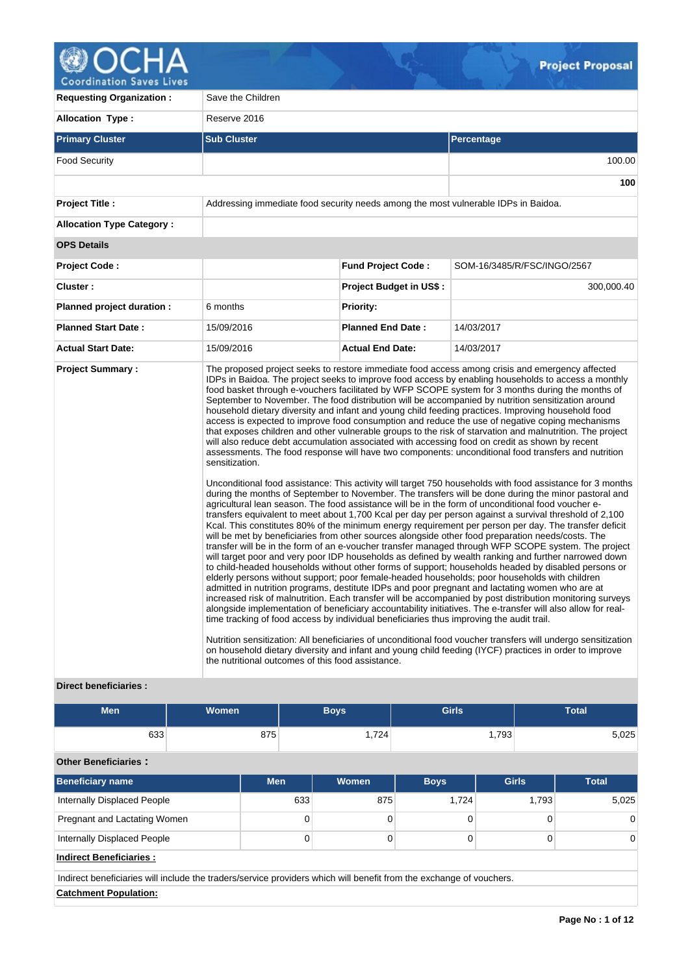

| <b>Requesting Organization:</b>  | Save the Children                                                                                                                                               |                                |                                                                                                                                                                                                                                                                                                                                                                                                                                                                                                                                                                                                                                                                                                                                                                                                                                                                                                                                                                                                                                                                                                                                                                                                                                                                                                                                                                                                                                                                                                                                                                                                                                                                                                                                                                                                                                                                                                                                                                                                                                                                                                                                                                                                                                                                                                                                                                                                                                                                                                                                                                                      |  |  |  |  |  |
|----------------------------------|-----------------------------------------------------------------------------------------------------------------------------------------------------------------|--------------------------------|--------------------------------------------------------------------------------------------------------------------------------------------------------------------------------------------------------------------------------------------------------------------------------------------------------------------------------------------------------------------------------------------------------------------------------------------------------------------------------------------------------------------------------------------------------------------------------------------------------------------------------------------------------------------------------------------------------------------------------------------------------------------------------------------------------------------------------------------------------------------------------------------------------------------------------------------------------------------------------------------------------------------------------------------------------------------------------------------------------------------------------------------------------------------------------------------------------------------------------------------------------------------------------------------------------------------------------------------------------------------------------------------------------------------------------------------------------------------------------------------------------------------------------------------------------------------------------------------------------------------------------------------------------------------------------------------------------------------------------------------------------------------------------------------------------------------------------------------------------------------------------------------------------------------------------------------------------------------------------------------------------------------------------------------------------------------------------------------------------------------------------------------------------------------------------------------------------------------------------------------------------------------------------------------------------------------------------------------------------------------------------------------------------------------------------------------------------------------------------------------------------------------------------------------------------------------------------------|--|--|--|--|--|
| <b>Allocation Type:</b>          | Reserve 2016                                                                                                                                                    |                                |                                                                                                                                                                                                                                                                                                                                                                                                                                                                                                                                                                                                                                                                                                                                                                                                                                                                                                                                                                                                                                                                                                                                                                                                                                                                                                                                                                                                                                                                                                                                                                                                                                                                                                                                                                                                                                                                                                                                                                                                                                                                                                                                                                                                                                                                                                                                                                                                                                                                                                                                                                                      |  |  |  |  |  |
| <b>Primary Cluster</b>           | <b>Sub Cluster</b>                                                                                                                                              |                                | Percentage                                                                                                                                                                                                                                                                                                                                                                                                                                                                                                                                                                                                                                                                                                                                                                                                                                                                                                                                                                                                                                                                                                                                                                                                                                                                                                                                                                                                                                                                                                                                                                                                                                                                                                                                                                                                                                                                                                                                                                                                                                                                                                                                                                                                                                                                                                                                                                                                                                                                                                                                                                           |  |  |  |  |  |
| <b>Food Security</b>             |                                                                                                                                                                 |                                | 100.00                                                                                                                                                                                                                                                                                                                                                                                                                                                                                                                                                                                                                                                                                                                                                                                                                                                                                                                                                                                                                                                                                                                                                                                                                                                                                                                                                                                                                                                                                                                                                                                                                                                                                                                                                                                                                                                                                                                                                                                                                                                                                                                                                                                                                                                                                                                                                                                                                                                                                                                                                                               |  |  |  |  |  |
|                                  |                                                                                                                                                                 |                                | 100                                                                                                                                                                                                                                                                                                                                                                                                                                                                                                                                                                                                                                                                                                                                                                                                                                                                                                                                                                                                                                                                                                                                                                                                                                                                                                                                                                                                                                                                                                                                                                                                                                                                                                                                                                                                                                                                                                                                                                                                                                                                                                                                                                                                                                                                                                                                                                                                                                                                                                                                                                                  |  |  |  |  |  |
| <b>Project Title:</b>            | Addressing immediate food security needs among the most vulnerable IDPs in Baidoa.                                                                              |                                |                                                                                                                                                                                                                                                                                                                                                                                                                                                                                                                                                                                                                                                                                                                                                                                                                                                                                                                                                                                                                                                                                                                                                                                                                                                                                                                                                                                                                                                                                                                                                                                                                                                                                                                                                                                                                                                                                                                                                                                                                                                                                                                                                                                                                                                                                                                                                                                                                                                                                                                                                                                      |  |  |  |  |  |
| <b>Allocation Type Category:</b> |                                                                                                                                                                 |                                |                                                                                                                                                                                                                                                                                                                                                                                                                                                                                                                                                                                                                                                                                                                                                                                                                                                                                                                                                                                                                                                                                                                                                                                                                                                                                                                                                                                                                                                                                                                                                                                                                                                                                                                                                                                                                                                                                                                                                                                                                                                                                                                                                                                                                                                                                                                                                                                                                                                                                                                                                                                      |  |  |  |  |  |
| <b>OPS Details</b>               |                                                                                                                                                                 |                                |                                                                                                                                                                                                                                                                                                                                                                                                                                                                                                                                                                                                                                                                                                                                                                                                                                                                                                                                                                                                                                                                                                                                                                                                                                                                                                                                                                                                                                                                                                                                                                                                                                                                                                                                                                                                                                                                                                                                                                                                                                                                                                                                                                                                                                                                                                                                                                                                                                                                                                                                                                                      |  |  |  |  |  |
| Project Code:                    |                                                                                                                                                                 | <b>Fund Project Code:</b>      | SOM-16/3485/R/FSC/INGO/2567                                                                                                                                                                                                                                                                                                                                                                                                                                                                                                                                                                                                                                                                                                                                                                                                                                                                                                                                                                                                                                                                                                                                                                                                                                                                                                                                                                                                                                                                                                                                                                                                                                                                                                                                                                                                                                                                                                                                                                                                                                                                                                                                                                                                                                                                                                                                                                                                                                                                                                                                                          |  |  |  |  |  |
| Cluster:                         |                                                                                                                                                                 | <b>Project Budget in US\$:</b> | 300,000.40                                                                                                                                                                                                                                                                                                                                                                                                                                                                                                                                                                                                                                                                                                                                                                                                                                                                                                                                                                                                                                                                                                                                                                                                                                                                                                                                                                                                                                                                                                                                                                                                                                                                                                                                                                                                                                                                                                                                                                                                                                                                                                                                                                                                                                                                                                                                                                                                                                                                                                                                                                           |  |  |  |  |  |
| Planned project duration :       | 6 months                                                                                                                                                        | <b>Priority:</b>               |                                                                                                                                                                                                                                                                                                                                                                                                                                                                                                                                                                                                                                                                                                                                                                                                                                                                                                                                                                                                                                                                                                                                                                                                                                                                                                                                                                                                                                                                                                                                                                                                                                                                                                                                                                                                                                                                                                                                                                                                                                                                                                                                                                                                                                                                                                                                                                                                                                                                                                                                                                                      |  |  |  |  |  |
| <b>Planned Start Date:</b>       | 15/09/2016                                                                                                                                                      | <b>Planned End Date:</b>       | 14/03/2017                                                                                                                                                                                                                                                                                                                                                                                                                                                                                                                                                                                                                                                                                                                                                                                                                                                                                                                                                                                                                                                                                                                                                                                                                                                                                                                                                                                                                                                                                                                                                                                                                                                                                                                                                                                                                                                                                                                                                                                                                                                                                                                                                                                                                                                                                                                                                                                                                                                                                                                                                                           |  |  |  |  |  |
| <b>Actual Start Date:</b>        | 15/09/2016                                                                                                                                                      | <b>Actual End Date:</b>        | 14/03/2017                                                                                                                                                                                                                                                                                                                                                                                                                                                                                                                                                                                                                                                                                                                                                                                                                                                                                                                                                                                                                                                                                                                                                                                                                                                                                                                                                                                                                                                                                                                                                                                                                                                                                                                                                                                                                                                                                                                                                                                                                                                                                                                                                                                                                                                                                                                                                                                                                                                                                                                                                                           |  |  |  |  |  |
| <b>Project Summary:</b>          | sensitization.<br>time tracking of food access by individual beneficiaries thus improving the audit trail.<br>the nutritional outcomes of this food assistance. |                                | The proposed project seeks to restore immediate food access among crisis and emergency affected<br>IDPs in Baidoa. The project seeks to improve food access by enabling households to access a monthly<br>food basket through e-vouchers facilitated by WFP SCOPE system for 3 months during the months of<br>September to November. The food distribution will be accompanied by nutrition sensitization around<br>household dietary diversity and infant and young child feeding practices. Improving household food<br>access is expected to improve food consumption and reduce the use of negative coping mechanisms<br>that exposes children and other vulnerable groups to the risk of starvation and malnutrition. The project<br>will also reduce debt accumulation associated with accessing food on credit as shown by recent<br>assessments. The food response will have two components: unconditional food transfers and nutrition<br>Unconditional food assistance: This activity will target 750 households with food assistance for 3 months<br>during the months of September to November. The transfers will be done during the minor pastoral and<br>agricultural lean season. The food assistance will be in the form of unconditional food voucher e-<br>transfers equivalent to meet about 1,700 Kcal per day per person against a survival threshold of 2,100<br>Kcal. This constitutes 80% of the minimum energy requirement per person per day. The transfer deficit<br>will be met by beneficiaries from other sources alongside other food preparation needs/costs. The<br>transfer will be in the form of an e-voucher transfer managed through WFP SCOPE system. The project<br>will target poor and very poor IDP households as defined by wealth ranking and further narrowed down<br>to child-headed households without other forms of support; households headed by disabled persons or<br>elderly persons without support; poor female-headed households; poor households with children<br>admitted in nutrition programs, destitute IDPs and poor pregnant and lactating women who are at<br>increased risk of malnutrition. Each transfer will be accompanied by post distribution monitoring surveys<br>alongside implementation of beneficiary accountability initiatives. The e-transfer will also allow for real-<br>Nutrition sensitization: All beneficiaries of unconditional food voucher transfers will undergo sensitization<br>on household dietary diversity and infant and young child feeding (IYCF) practices in order to improve |  |  |  |  |  |

# **Direct beneficiaries :**

| <b>Men</b> | Women <sup>1</sup> | <b>Boys</b> | <b>Girls</b> | Total |
|------------|--------------------|-------------|--------------|-------|
| 633        | 875                | √724,،      | .793         | 5,025 |

# **Other Beneficiaries :**

| <b>Beneficiary name</b>                                                                                             | <b>Men</b> | Women | <b>Boys</b> | <b>Girls</b> | <b>Total</b> |  |  |  |  |  |
|---------------------------------------------------------------------------------------------------------------------|------------|-------|-------------|--------------|--------------|--|--|--|--|--|
| Internally Displaced People                                                                                         | 633        | 875   | 1.724       | 1,793        | 5,025        |  |  |  |  |  |
| Pregnant and Lactating Women                                                                                        | 0          |       | 0           | 0            | 0            |  |  |  |  |  |
| Internally Displaced People                                                                                         | 0          |       |             | 0            | $\Omega$     |  |  |  |  |  |
| <b>Indirect Beneficiaries:</b>                                                                                      |            |       |             |              |              |  |  |  |  |  |
| Indirect beneficiaries will include the traders/service providers which will benefit from the exchange of vouchers. |            |       |             |              |              |  |  |  |  |  |
| <b>Catchment Population:</b>                                                                                        |            |       |             |              |              |  |  |  |  |  |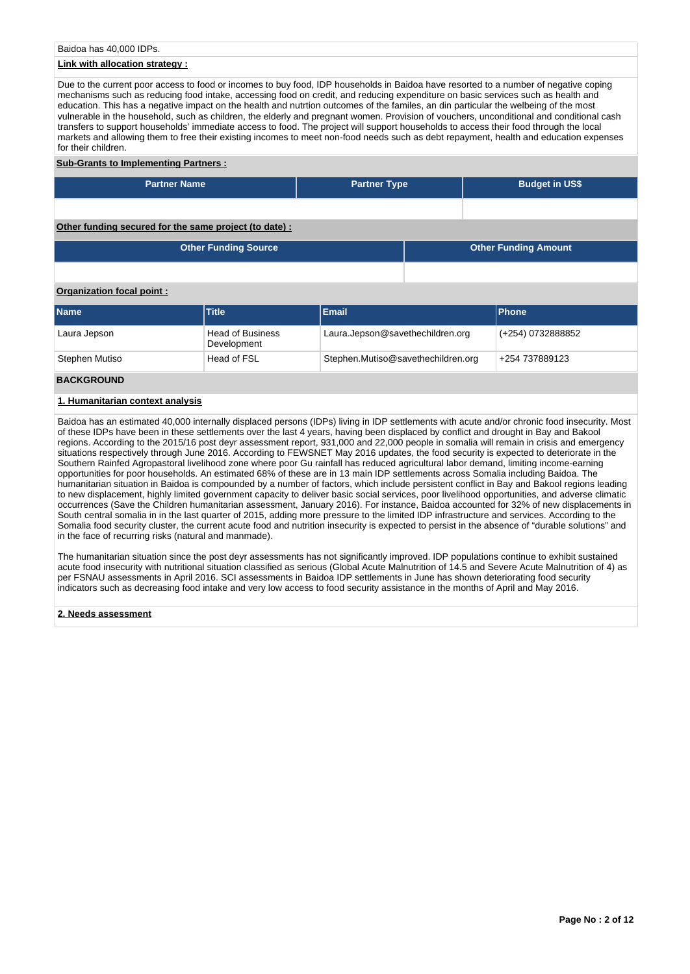Baidoa has 40,000 IDPs.

### **Link with allocation strategy :**

Due to the current poor access to food or incomes to buy food, IDP households in Baidoa have resorted to a number of negative coping mechanisms such as reducing food intake, accessing food on credit, and reducing expenditure on basic services such as health and education. This has a negative impact on the health and nutrtion outcomes of the familes, an din particular the welbeing of the most vulnerable in the household, such as children, the elderly and pregnant women. Provision of vouchers, unconditional and conditional cash transfers to support households' immediate access to food. The project will support households to access their food through the local markets and allowing them to free their existing incomes to meet non-food needs such as debt repayment, health and education expenses for their children.

### **Sub-Grants to Implementing Partners :**

| <b>Partner Name</b>                                   | <b>Partner Type</b> | <b>Budget in US\$</b>       |  |
|-------------------------------------------------------|---------------------|-----------------------------|--|
|                                                       |                     |                             |  |
|                                                       |                     |                             |  |
|                                                       |                     |                             |  |
| Other funding secured for the same project (to date): |                     |                             |  |
|                                                       |                     |                             |  |
| <b>Other Funding Source</b>                           |                     | <b>Other Funding Amount</b> |  |

#### **Organization focal point :**

| <b>Name</b>    | Title                                  | Email                              | <b>IPhone</b>     |
|----------------|----------------------------------------|------------------------------------|-------------------|
| Laura Jepson   | <b>Head of Business</b><br>Development | Laura.Jepson@savethechildren.org   | (+254) 0732888852 |
| Stephen Mutiso | Head of FSL                            | Stephen.Mutiso@savethechildren.org | +254 737889123    |

#### **BACKGROUND**

### **1. Humanitarian context analysis**

Baidoa has an estimated 40,000 internally displaced persons (IDPs) living in IDP settlements with acute and/or chronic food insecurity. Most of these IDPs have been in these settlements over the last 4 years, having been displaced by conflict and drought in Bay and Bakool regions. According to the 2015/16 post deyr assessment report, 931,000 and 22,000 people in somalia will remain in crisis and emergency situations respectively through June 2016. According to FEWSNET May 2016 updates, the food security is expected to deteriorate in the Southern Rainfed Agropastoral livelihood zone where poor Gu rainfall has reduced agricultural labor demand, limiting income-earning opportunities for poor households. An estimated 68% of these are in 13 main IDP settlements across Somalia including Baidoa. The humanitarian situation in Baidoa is compounded by a number of factors, which include persistent conflict in Bay and Bakool regions leading to new displacement, highly limited government capacity to deliver basic social services, poor livelihood opportunities, and adverse climatic occurrences (Save the Children humanitarian assessment, January 2016). For instance, Baidoa accounted for 32% of new displacements in South central somalia in in the last quarter of 2015, adding more pressure to the limited IDP infrastructure and services. According to the Somalia food security cluster, the current acute food and nutrition insecurity is expected to persist in the absence of "durable solutions" and in the face of recurring risks (natural and manmade).

The humanitarian situation since the post deyr assessments has not significantly improved. IDP populations continue to exhibit sustained acute food insecurity with nutritional situation classified as serious (Global Acute Malnutrition of 14.5 and Severe Acute Malnutrition of 4) as per FSNAU assessments in April 2016. SCI assessments in Baidoa IDP settlements in June has shown deteriorating food security indicators such as decreasing food intake and very low access to food security assistance in the months of April and May 2016.

#### **2. Needs assessment**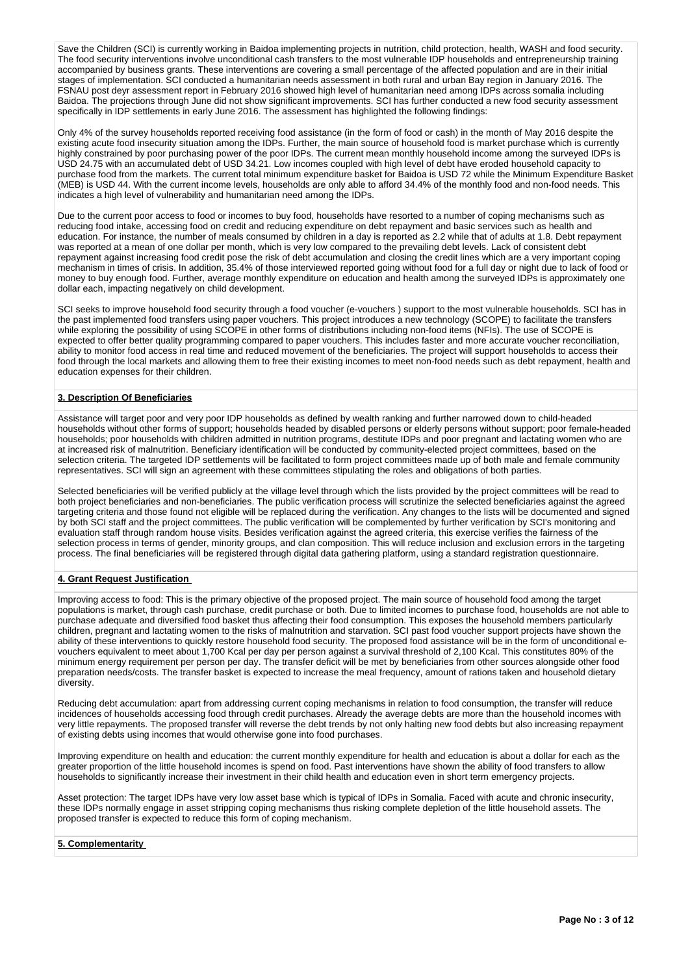Save the Children (SCI) is currently working in Baidoa implementing projects in nutrition, child protection, health, WASH and food security. The food security interventions involve unconditional cash transfers to the most vulnerable IDP households and entrepreneurship training accompanied by business grants. These interventions are covering a small percentage of the affected population and are in their initial stages of implementation. SCI conducted a humanitarian needs assessment in both rural and urban Bay region in January 2016. The FSNAU post deyr assessment report in February 2016 showed high level of humanitarian need among IDPs across somalia including Baidoa. The projections through June did not show significant improvements. SCI has further conducted a new food security assessment specifically in IDP settlements in early June 2016. The assessment has highlighted the following findings:

Only 4% of the survey households reported receiving food assistance (in the form of food or cash) in the month of May 2016 despite the existing acute food insecurity situation among the IDPs. Further, the main source of household food is market purchase which is currently highly constrained by poor purchasing power of the poor IDPs. The current mean monthly household income among the surveyed IDPs is USD 24.75 with an accumulated debt of USD 34.21. Low incomes coupled with high level of debt have eroded household capacity to purchase food from the markets. The current total minimum expenditure basket for Baidoa is USD 72 while the Minimum Expenditure Basket (MEB) is USD 44. With the current income levels, households are only able to afford 34.4% of the monthly food and non-food needs. This indicates a high level of vulnerability and humanitarian need among the IDPs.

Due to the current poor access to food or incomes to buy food, households have resorted to a number of coping mechanisms such as reducing food intake, accessing food on credit and reducing expenditure on debt repayment and basic services such as health and education. For instance, the number of meals consumed by children in a day is reported as 2.2 while that of adults at 1.8. Debt repayment was reported at a mean of one dollar per month, which is very low compared to the prevailing debt levels. Lack of consistent debt repayment against increasing food credit pose the risk of debt accumulation and closing the credit lines which are a very important coping mechanism in times of crisis. In addition, 35.4% of those interviewed reported going without food for a full day or night due to lack of food or money to buy enough food. Further, average monthly expenditure on education and health among the surveyed IDPs is approximately one dollar each, impacting negatively on child development.

SCI seeks to improve household food security through a food voucher (e-vouchers ) support to the most vulnerable households. SCI has in the past implemented food transfers using paper vouchers. This project introduces a new technology (SCOPE) to facilitate the transfers while exploring the possibility of using SCOPE in other forms of distributions including non-food items (NFIs). The use of SCOPE is expected to offer better quality programming compared to paper vouchers. This includes faster and more accurate voucher reconciliation, ability to monitor food access in real time and reduced movement of the beneficiaries. The project will support households to access their food through the local markets and allowing them to free their existing incomes to meet non-food needs such as debt repayment, health and education expenses for their children.

### **3. Description Of Beneficiaries**

Assistance will target poor and very poor IDP households as defined by wealth ranking and further narrowed down to child-headed households without other forms of support; households headed by disabled persons or elderly persons without support; poor female-headed households; poor households with children admitted in nutrition programs, destitute IDPs and poor pregnant and lactating women who are at increased risk of malnutrition. Beneficiary identification will be conducted by community-elected project committees, based on the selection criteria. The targeted IDP settlements will be facilitated to form project committees made up of both male and female community representatives. SCI will sign an agreement with these committees stipulating the roles and obligations of both parties.

Selected beneficiaries will be verified publicly at the village level through which the lists provided by the project committees will be read to both project beneficiaries and non-beneficiaries. The public verification process will scrutinize the selected beneficiaries against the agreed targeting criteria and those found not eligible will be replaced during the verification. Any changes to the lists will be documented and signed by both SCI staff and the project committees. The public verification will be complemented by further verification by SCI's monitoring and evaluation staff through random house visits. Besides verification against the agreed criteria, this exercise verifies the fairness of the selection process in terms of gender, minority groups, and clan composition. This will reduce inclusion and exclusion errors in the targeting process. The final beneficiaries will be registered through digital data gathering platform, using a standard registration questionnaire.

### **4. Grant Request Justification**

Improving access to food: This is the primary objective of the proposed project. The main source of household food among the target populations is market, through cash purchase, credit purchase or both. Due to limited incomes to purchase food, households are not able to purchase adequate and diversified food basket thus affecting their food consumption. This exposes the household members particularly children, pregnant and lactating women to the risks of malnutrition and starvation. SCI past food voucher support projects have shown the ability of these interventions to quickly restore household food security. The proposed food assistance will be in the form of unconditional evouchers equivalent to meet about 1,700 Kcal per day per person against a survival threshold of 2,100 Kcal. This constitutes 80% of the minimum energy requirement per person per day. The transfer deficit will be met by beneficiaries from other sources alongside other food preparation needs/costs. The transfer basket is expected to increase the meal frequency, amount of rations taken and household dietary diversity.

Reducing debt accumulation: apart from addressing current coping mechanisms in relation to food consumption, the transfer will reduce incidences of households accessing food through credit purchases. Already the average debts are more than the household incomes with very little repayments. The proposed transfer will reverse the debt trends by not only halting new food debts but also increasing repayment of existing debts using incomes that would otherwise gone into food purchases.

Improving expenditure on health and education: the current monthly expenditure for health and education is about a dollar for each as the greater proportion of the little household incomes is spend on food. Past interventions have shown the ability of food transfers to allow households to significantly increase their investment in their child health and education even in short term emergency projects.

Asset protection: The target IDPs have very low asset base which is typical of IDPs in Somalia. Faced with acute and chronic insecurity, these IDPs normally engage in asset stripping coping mechanisms thus risking complete depletion of the little household assets. The proposed transfer is expected to reduce this form of coping mechanism.

#### **5. Complementarity**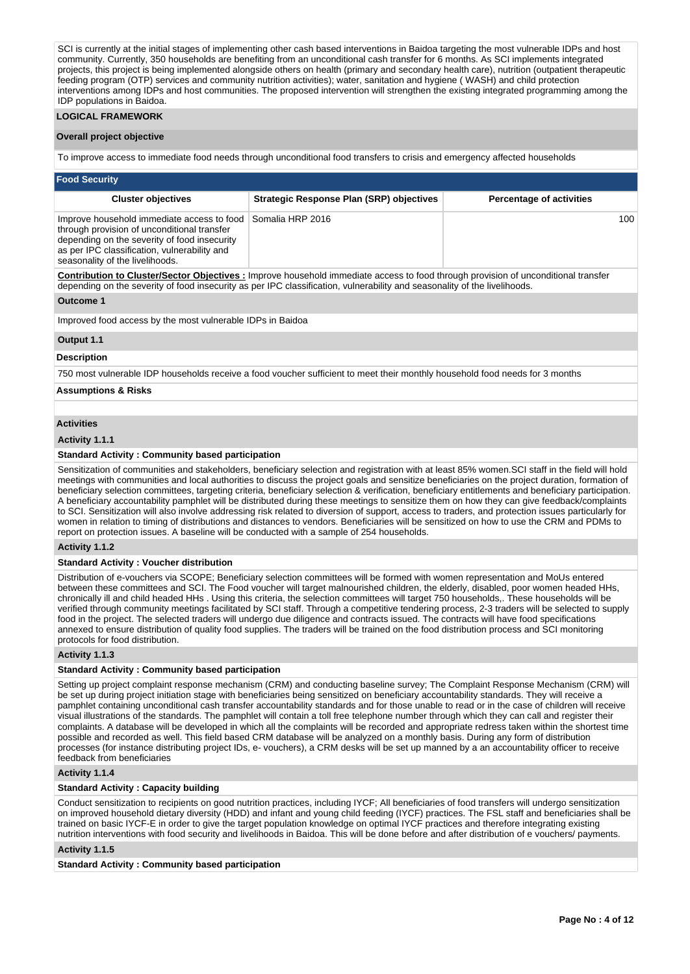SCI is currently at the initial stages of implementing other cash based interventions in Baidoa targeting the most vulnerable IDPs and host community. Currently, 350 households are benefiting from an unconditional cash transfer for 6 months. As SCI implements integrated projects, this project is being implemented alongside others on health (primary and secondary health care), nutrition (outpatient therapeutic feeding program (OTP) services and community nutrition activities); water, sanitation and hygiene ( WASH) and child protection interventions among IDPs and host communities. The proposed intervention will strengthen the existing integrated programming among the IDP populations in Baidoa.

### **LOGICAL FRAMEWORK**

### **Overall project objective**

To improve access to immediate food needs through unconditional food transfers to crisis and emergency affected households

| <b>Food Security</b>                                                                                                                                                                                                         |                                                 |                                 |
|------------------------------------------------------------------------------------------------------------------------------------------------------------------------------------------------------------------------------|-------------------------------------------------|---------------------------------|
| <b>Cluster objectives</b>                                                                                                                                                                                                    | <b>Strategic Response Plan (SRP) objectives</b> | <b>Percentage of activities</b> |
| Improve household immediate access to food<br>through provision of unconditional transfer<br>depending on the severity of food insecurity<br>as per IPC classification, vulnerability and<br>seasonality of the livelihoods. | Somalia HRP 2016                                | 100                             |

**Contribution to Cluster/Sector Objectives :** Improve household immediate access to food through provision of unconditional transfer depending on the severity of food insecurity as per IPC classification, vulnerability and seasonality of the livelihoods.

#### **Outcome 1**

Improved food access by the most vulnerable IDPs in Baidoa

### **Output 1.1**

## **Description**

750 most vulnerable IDP households receive a food voucher sufficient to meet their monthly household food needs for 3 months

#### **Assumptions & Risks**

#### **Activities**

#### **Activity 1.1.1**

#### **Standard Activity : Community based participation**

Sensitization of communities and stakeholders, beneficiary selection and registration with at least 85% women.SCI staff in the field will hold meetings with communities and local authorities to discuss the project goals and sensitize beneficiaries on the project duration, formation of beneficiary selection committees, targeting criteria, beneficiary selection & verification, beneficiary entitlements and beneficiary participation. A beneficiary accountability pamphlet will be distributed during these meetings to sensitize them on how they can give feedback/complaints to SCI. Sensitization will also involve addressing risk related to diversion of support, access to traders, and protection issues particularly for women in relation to timing of distributions and distances to vendors. Beneficiaries will be sensitized on how to use the CRM and PDMs to report on protection issues. A baseline will be conducted with a sample of 254 households.

#### **Activity 1.1.2**

### **Standard Activity : Voucher distribution**

Distribution of e-vouchers via SCOPE; Beneficiary selection committees will be formed with women representation and MoUs entered between these committees and SCI. The Food voucher will target malnourished children, the elderly, disabled, poor women headed HHs, chronically ill and child headed HHs . Using this criteria, the selection committees will target 750 households,. These households will be verified through community meetings facilitated by SCI staff. Through a competitive tendering process, 2-3 traders will be selected to supply food in the project. The selected traders will undergo due diligence and contracts issued. The contracts will have food specifications annexed to ensure distribution of quality food supplies. The traders will be trained on the food distribution process and SCI monitoring protocols for food distribution.

#### **Activity 1.1.3**

### **Standard Activity : Community based participation**

Setting up project complaint response mechanism (CRM) and conducting baseline survey; The Complaint Response Mechanism (CRM) will be set up during project initiation stage with beneficiaries being sensitized on beneficiary accountability standards. They will receive a pamphlet containing unconditional cash transfer accountability standards and for those unable to read or in the case of children will receive visual illustrations of the standards. The pamphlet will contain a toll free telephone number through which they can call and register their complaints. A database will be developed in which all the complaints will be recorded and appropriate redress taken within the shortest time possible and recorded as well. This field based CRM database will be analyzed on a monthly basis. During any form of distribution processes (for instance distributing project IDs, e- vouchers), a CRM desks will be set up manned by a an accountability officer to receive feedback from beneficiaries

### **Activity 1.1.4**

#### **Standard Activity : Capacity building**

Conduct sensitization to recipients on good nutrition practices, including IYCF; All beneficiaries of food transfers will undergo sensitization on improved household dietary diversity (HDD) and infant and young child feeding (IYCF) practices. The FSL staff and beneficiaries shall be trained on basic IYCF-E in order to give the target population knowledge on optimal IYCF practices and therefore integrating existing nutrition interventions with food security and livelihoods in Baidoa. This will be done before and after distribution of e vouchers/ payments.

#### **Activity 1.1.5**

#### **Standard Activity : Community based participation**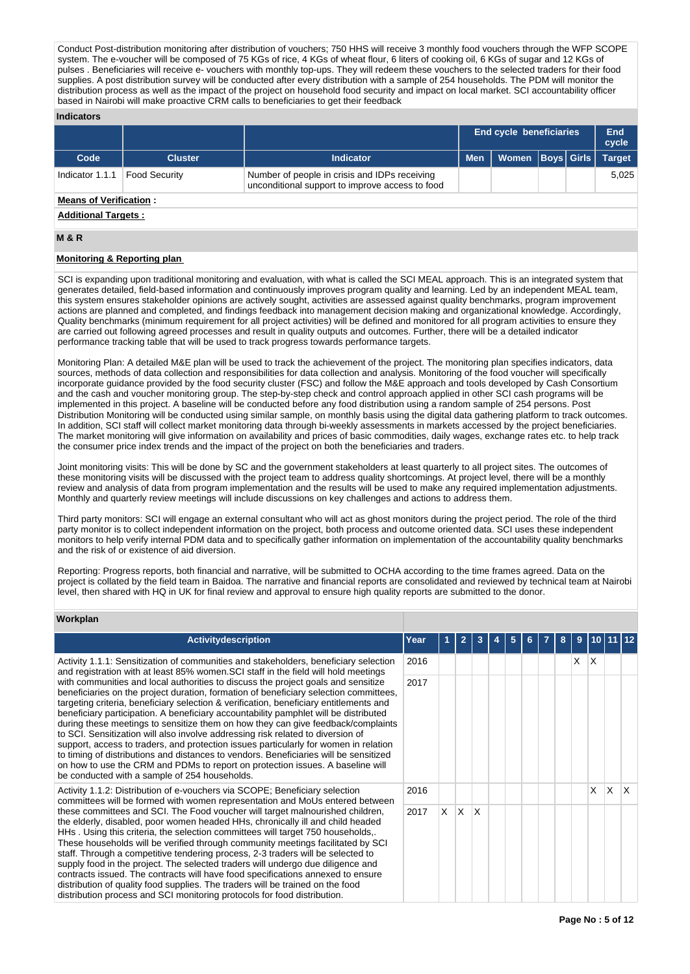Conduct Post-distribution monitoring after distribution of vouchers; 750 HHS will receive 3 monthly food vouchers through the WFP SCOPE system. The e-voucher will be composed of 75 KGs of rice, 4 KGs of wheat flour, 6 liters of cooking oil, 6 KGs of sugar and 12 KGs of pulses . Beneficiaries will receive e- vouchers with monthly top-ups. They will redeem these vouchers to the selected traders for their food supplies. A post distribution survey will be conducted after every distribution with a sample of 254 households. The PDM will monitor the distribution process as well as the impact of the project on household food security and impact on local market. SCI accountability officer based in Nairobi will make proactive CRM calls to beneficiaries to get their feedback

#### **Indicators**

|                               |                      |                                                                                                  | End cycle beneficiaries |                      |  | End<br>cycle  |
|-------------------------------|----------------------|--------------------------------------------------------------------------------------------------|-------------------------|----------------------|--|---------------|
| Code                          | <b>Cluster</b>       | Indicator                                                                                        | <b>Men</b>              | Women   Boys   Girls |  | <b>Target</b> |
| Indicator 1.1.1               | <b>Food Security</b> | Number of people in crisis and IDPs receiving<br>unconditional support to improve access to food |                         |                      |  | 5.025         |
| <b>Means of Verification:</b> |                      |                                                                                                  |                         |                      |  |               |
| <b>Additional Targets:</b>    |                      |                                                                                                  |                         |                      |  |               |

### **M & R**

#### **Monitoring & Reporting plan**

SCI is expanding upon traditional monitoring and evaluation, with what is called the SCI MEAL approach. This is an integrated system that generates detailed, field-based information and continuously improves program quality and learning. Led by an independent MEAL team, this system ensures stakeholder opinions are actively sought, activities are assessed against quality benchmarks, program improvement actions are planned and completed, and findings feedback into management decision making and organizational knowledge. Accordingly, Quality benchmarks (minimum requirement for all project activities) will be defined and monitored for all program activities to ensure they are carried out following agreed processes and result in quality outputs and outcomes. Further, there will be a detailed indicator performance tracking table that will be used to track progress towards performance targets.

Monitoring Plan: A detailed M&E plan will be used to track the achievement of the project. The monitoring plan specifies indicators, data sources, methods of data collection and responsibilities for data collection and analysis. Monitoring of the food voucher will specifically incorporate guidance provided by the food security cluster (FSC) and follow the M&E approach and tools developed by Cash Consortium and the cash and voucher monitoring group. The step-by-step check and control approach applied in other SCI cash programs will be implemented in this project. A baseline will be conducted before any food distribution using a random sample of 254 persons. Post Distribution Monitoring will be conducted using similar sample, on monthly basis using the digital data gathering platform to track outcomes. In addition, SCI staff will collect market monitoring data through bi-weekly assessments in markets accessed by the project beneficiaries. The market monitoring will give information on availability and prices of basic commodities, daily wages, exchange rates etc. to help track the consumer price index trends and the impact of the project on both the beneficiaries and traders.

Joint monitoring visits: This will be done by SC and the government stakeholders at least quarterly to all project sites. The outcomes of these monitoring visits will be discussed with the project team to address quality shortcomings. At project level, there will be a monthly review and analysis of data from program implementation and the results will be used to make any required implementation adjustments. Monthly and quarterly review meetings will include discussions on key challenges and actions to address them.

Third party monitors: SCI will engage an external consultant who will act as ghost monitors during the project period. The role of the third party monitor is to collect independent information on the project, both process and outcome oriented data. SCI uses these independent monitors to help verify internal PDM data and to specifically gather information on implementation of the accountability quality benchmarks and the risk of or existence of aid diversion.

Reporting: Progress reports, both financial and narrative, will be submitted to OCHA according to the time frames agreed. Data on the project is collated by the field team in Baidoa. The narrative and financial reports are consolidated and reviewed by technical team at Nairobi level, then shared with HQ in UK for final review and approval to ensure high quality reports are submitted to the donor.

#### **Workplan**

| <b>Activitydescription</b>                                                                                                                                                                                                                                                                                                                                                                                                                                                                                                                                                                                                                                                                                                                                                                                                                                                                                                                                                                                                             | Year         |            |     |  |  | 8 | 9 | 10       |    |                         |
|----------------------------------------------------------------------------------------------------------------------------------------------------------------------------------------------------------------------------------------------------------------------------------------------------------------------------------------------------------------------------------------------------------------------------------------------------------------------------------------------------------------------------------------------------------------------------------------------------------------------------------------------------------------------------------------------------------------------------------------------------------------------------------------------------------------------------------------------------------------------------------------------------------------------------------------------------------------------------------------------------------------------------------------|--------------|------------|-----|--|--|---|---|----------|----|-------------------------|
| Activity 1.1.1: Sensitization of communities and stakeholders, beneficiary selection<br>and registration with at least 85% women. SCI staff in the field will hold meetings<br>with communities and local authorities to discuss the project goals and sensitize<br>beneficiaries on the project duration, formation of beneficiary selection committees,<br>targeting criteria, beneficiary selection & verification, beneficiary entitlements and<br>beneficiary participation. A beneficiary accountability pamphlet will be distributed<br>during these meetings to sensitize them on how they can give feedback/complaints<br>to SCI. Sensitization will also involve addressing risk related to diversion of<br>support, access to traders, and protection issues particularly for women in relation<br>to timing of distributions and distances to vendors. Beneficiaries will be sensitized<br>on how to use the CRM and PDMs to report on protection issues. A baseline will<br>be conducted with a sample of 254 households. | 2016<br>2017 |            |     |  |  |   | X | $\times$ |    |                         |
| Activity 1.1.2: Distribution of e-vouchers via SCOPE; Beneficiary selection<br>committees will be formed with women representation and MoUs entered between                                                                                                                                                                                                                                                                                                                                                                                                                                                                                                                                                                                                                                                                                                                                                                                                                                                                            | 2016         |            |     |  |  |   |   | X        | X. | $\mathsf{I} \mathsf{X}$ |
| these committees and SCI. The Food voucher will target malnourished children,<br>the elderly, disabled, poor women headed HHs, chronically ill and child headed<br>HHs. Using this criteria, the selection committees will target 750 households,.<br>These households will be verified through community meetings facilitated by SCI<br>staff. Through a competitive tendering process, 2-3 traders will be selected to<br>supply food in the project. The selected traders will undergo due diligence and<br>contracts issued. The contracts will have food specifications annexed to ensure<br>distribution of quality food supplies. The traders will be trained on the food<br>distribution process and SCI monitoring protocols for food distribution.                                                                                                                                                                                                                                                                           | 2017         | $x \mid x$ | ΙX. |  |  |   |   |          |    |                         |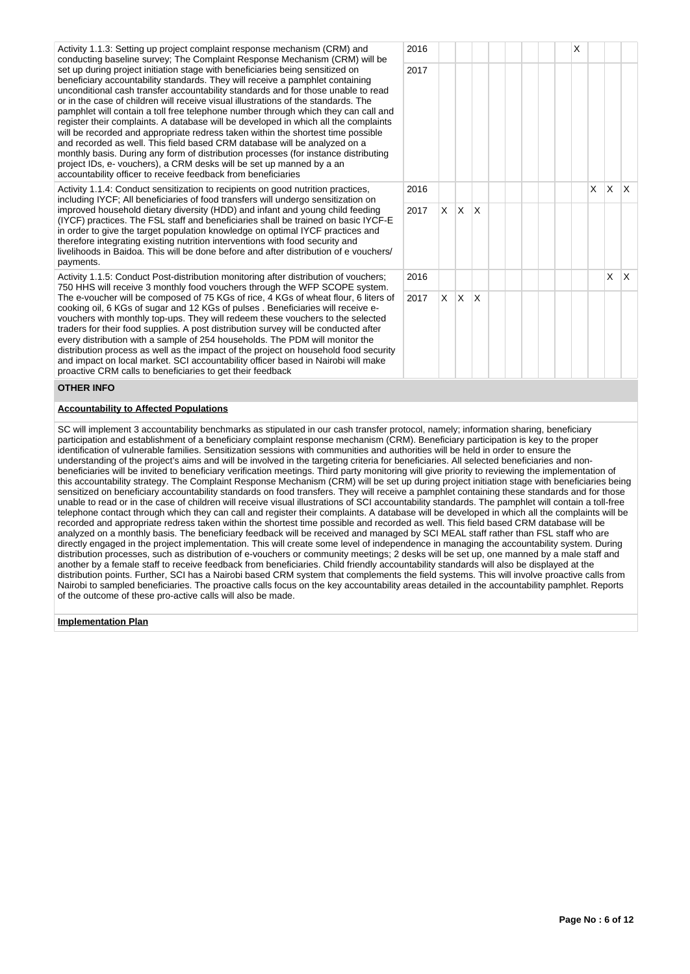Activity 1.1.3: Setting up project complaint response mechanism (CRM) and conducting baseline survey; The Complaint Response Mechanism (CRM) will be set up during project initiation stage with beneficiaries being sensitized on beneficiary accountability standards. They will receive a pamphlet containing unconditional cash transfer accountability standards and for those unable to read or in the case of children will receive visual illustrations of the standards. The pamphlet will contain a toll free telephone number through which they can call and register their complaints. A database will be developed in which all the complaints will be recorded and appropriate redress taken within the shortest time possible and recorded as well. This field based CRM database will be analyzed on a monthly basis. During any form of distribution processes (for instance distributing project IDs, e- vouchers), a CRM desks will be set up manned by a an accountability officer to receive feedback from beneficiaries

Activity 1.1.4: Conduct sensitization to recipients on good nutrition practices, including IYCF; All beneficiaries of food transfers will undergo sensitization on improved household dietary diversity (HDD) and infant and young child feeding (IYCF) practices. The FSL staff and beneficiaries shall be trained on basic IYCF-E in order to give the target population knowledge on optimal IYCF practices and therefore integrating existing nutrition interventions with food security and livelihoods in Baidoa. This will be done before and after distribution of e vouchers/ payments.

Activity 1.1.5: Conduct Post-distribution monitoring after distribution of vouchers; 750 HHS will receive 3 monthly food vouchers through the WFP SCOPE system. The e-voucher will be composed of 75 KGs of rice, 4 KGs of wheat flour, 6 liters of cooking oil, 6 KGs of sugar and 12 KGs of pulses . Beneficiaries will receive evouchers with monthly top-ups. They will redeem these vouchers to the selected traders for their food supplies. A post distribution survey will be conducted after every distribution with a sample of 254 households. The PDM will monitor the distribution process as well as the impact of the project on household food security and impact on local market. SCI accountability officer based in Nairobi will make proactive CRM calls to beneficiaries to get their feedback



#### **OTHER INFO**

#### **Accountability to Affected Populations**

SC will implement 3 accountability benchmarks as stipulated in our cash transfer protocol, namely; information sharing, beneficiary participation and establishment of a beneficiary complaint response mechanism (CRM). Beneficiary participation is key to the proper identification of vulnerable families. Sensitization sessions with communities and authorities will be held in order to ensure the understanding of the project's aims and will be involved in the targeting criteria for beneficiaries. All selected beneficiaries and nonbeneficiaries will be invited to beneficiary verification meetings. Third party monitoring will give priority to reviewing the implementation of this accountability strategy. The Complaint Response Mechanism (CRM) will be set up during project initiation stage with beneficiaries being sensitized on beneficiary accountability standards on food transfers. They will receive a pamphlet containing these standards and for those unable to read or in the case of children will receive visual illustrations of SCI accountability standards. The pamphlet will contain a toll-free telephone contact through which they can call and register their complaints. A database will be developed in which all the complaints will be recorded and appropriate redress taken within the shortest time possible and recorded as well. This field based CRM database will be analyzed on a monthly basis. The beneficiary feedback will be received and managed by SCI MEAL staff rather than FSL staff who are directly engaged in the project implementation. This will create some level of independence in managing the accountability system. During distribution processes, such as distribution of e-vouchers or community meetings; 2 desks will be set up, one manned by a male staff and another by a female staff to receive feedback from beneficiaries. Child friendly accountability standards will also be displayed at the distribution points. Further, SCI has a Nairobi based CRM system that complements the field systems. This will involve proactive calls from Nairobi to sampled beneficiaries. The proactive calls focus on the key accountability areas detailed in the accountability pamphlet. Reports of the outcome of these pro-active calls will also be made.

#### **Implementation Plan**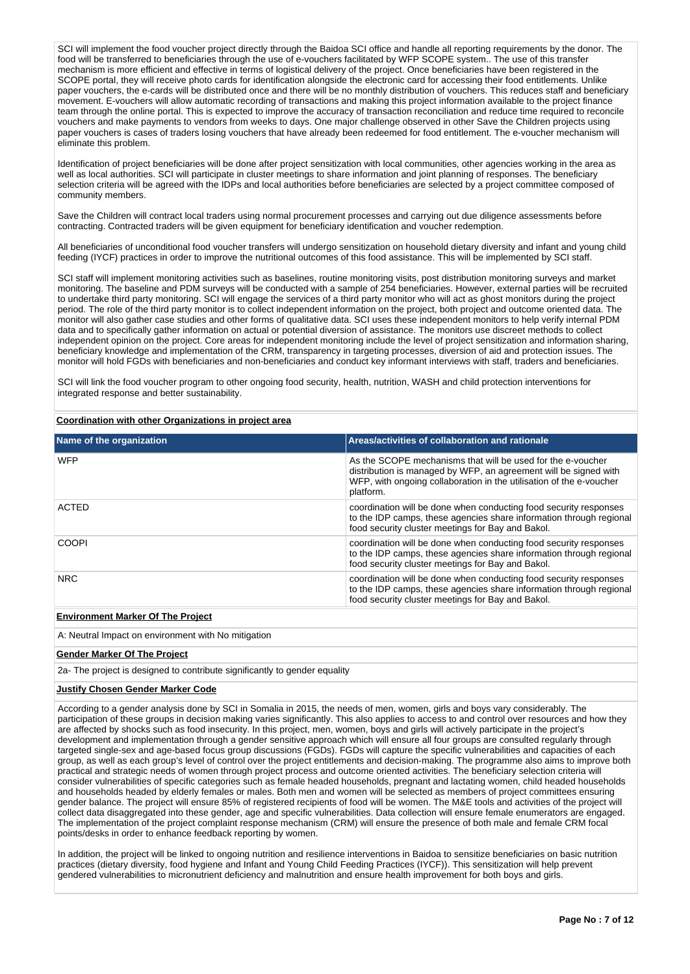SCI will implement the food voucher project directly through the Baidoa SCI office and handle all reporting requirements by the donor. The food will be transferred to beneficiaries through the use of e-vouchers facilitated by WFP SCOPE system.. The use of this transfer mechanism is more efficient and effective in terms of logistical delivery of the project. Once beneficiaries have been registered in the SCOPE portal, they will receive photo cards for identification alongside the electronic card for accessing their food entitlements. Unlike paper vouchers, the e-cards will be distributed once and there will be no monthly distribution of vouchers. This reduces staff and beneficiary movement. E-vouchers will allow automatic recording of transactions and making this project information available to the project finance team through the online portal. This is expected to improve the accuracy of transaction reconciliation and reduce time required to reconcile vouchers and make payments to vendors from weeks to days. One major challenge observed in other Save the Children projects using paper vouchers is cases of traders losing vouchers that have already been redeemed for food entitlement. The e-voucher mechanism will eliminate this problem.

Identification of project beneficiaries will be done after project sensitization with local communities, other agencies working in the area as well as local authorities. SCI will participate in cluster meetings to share information and joint planning of responses. The beneficiary selection criteria will be agreed with the IDPs and local authorities before beneficiaries are selected by a project committee composed of community members.

Save the Children will contract local traders using normal procurement processes and carrying out due diligence assessments before contracting. Contracted traders will be given equipment for beneficiary identification and voucher redemption.

All beneficiaries of unconditional food voucher transfers will undergo sensitization on household dietary diversity and infant and young child feeding (IYCF) practices in order to improve the nutritional outcomes of this food assistance. This will be implemented by SCI staff.

SCI staff will implement monitoring activities such as baselines, routine monitoring visits, post distribution monitoring surveys and market monitoring. The baseline and PDM surveys will be conducted with a sample of 254 beneficiaries. However, external parties will be recruited to undertake third party monitoring. SCI will engage the services of a third party monitor who will act as ghost monitors during the project period. The role of the third party monitor is to collect independent information on the project, both project and outcome oriented data. The monitor will also gather case studies and other forms of qualitative data. SCI uses these independent monitors to help verify internal PDM data and to specifically gather information on actual or potential diversion of assistance. The monitors use discreet methods to collect independent opinion on the project. Core areas for independent monitoring include the level of project sensitization and information sharing, beneficiary knowledge and implementation of the CRM, transparency in targeting processes, diversion of aid and protection issues. The monitor will hold FGDs with beneficiaries and non-beneficiaries and conduct key informant interviews with staff, traders and beneficiaries.

SCI will link the food voucher program to other ongoing food security, health, nutrition, WASH and child protection interventions for integrated response and better sustainability.

**Coordination with other Organizations in project area**

| Name of the organization | Areas/activities of collaboration and rationale                                                                                                                                                                     |
|--------------------------|---------------------------------------------------------------------------------------------------------------------------------------------------------------------------------------------------------------------|
| <b>WFP</b>               | As the SCOPE mechanisms that will be used for the e-voucher<br>distribution is managed by WFP, an agreement will be signed with<br>WFP, with ongoing collaboration in the utilisation of the e-voucher<br>platform. |
| ACTED                    | coordination will be done when conducting food security responses<br>to the IDP camps, these agencies share information through regional<br>food security cluster meetings for Bay and Bakol.                       |
| <b>COOPI</b>             | coordination will be done when conducting food security responses<br>to the IDP camps, these agencies share information through regional<br>food security cluster meetings for Bay and Bakol.                       |
| <b>NRC</b>               | coordination will be done when conducting food security responses<br>to the IDP camps, these agencies share information through regional<br>food security cluster meetings for Bay and Bakol.                       |

#### **Environment Marker Of The Project**

A: Neutral Impact on environment with No mitigation

#### **Gender Marker Of The Project**

2a- The project is designed to contribute significantly to gender equality

#### **Justify Chosen Gender Marker Code**

According to a gender analysis done by SCI in Somalia in 2015, the needs of men, women, girls and boys vary considerably. The participation of these groups in decision making varies significantly. This also applies to access to and control over resources and how they are affected by shocks such as food insecurity. In this project, men, women, boys and girls will actively participate in the project's development and implementation through a gender sensitive approach which will ensure all four groups are consulted regularly through targeted single-sex and age-based focus group discussions (FGDs). FGDs will capture the specific vulnerabilities and capacities of each group, as well as each group's level of control over the project entitlements and decision-making. The programme also aims to improve both practical and strategic needs of women through project process and outcome oriented activities. The beneficiary selection criteria will consider vulnerabilities of specific categories such as female headed households, pregnant and lactating women, child headed households and households headed by elderly females or males. Both men and women will be selected as members of project committees ensuring gender balance. The project will ensure 85% of registered recipients of food will be women. The M&E tools and activities of the project will collect data disaggregated into these gender, age and specific vulnerabilities. Data collection will ensure female enumerators are engaged. The implementation of the project complaint response mechanism (CRM) will ensure the presence of both male and female CRM focal points/desks in order to enhance feedback reporting by women.

In addition, the project will be linked to ongoing nutrition and resilience interventions in Baidoa to sensitize beneficiaries on basic nutrition practices (dietary diversity, food hygiene and Infant and Young Child Feeding Practices (IYCF)). This sensitization will help prevent gendered vulnerabilities to micronutrient deficiency and malnutrition and ensure health improvement for both boys and girls.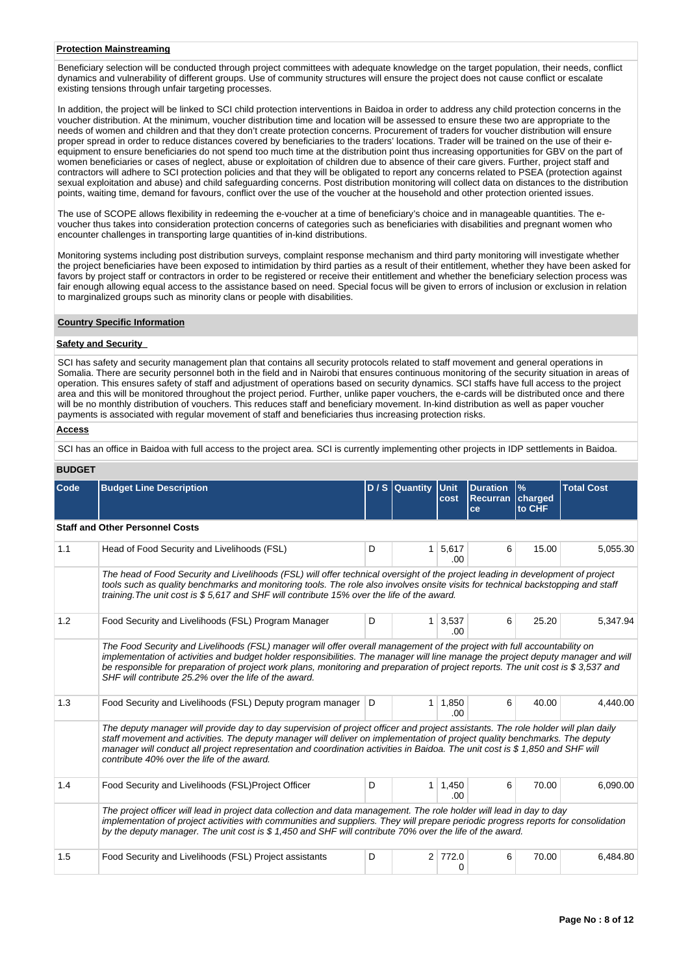#### **Protection Mainstreaming**

Beneficiary selection will be conducted through project committees with adequate knowledge on the target population, their needs, conflict dynamics and vulnerability of different groups. Use of community structures will ensure the project does not cause conflict or escalate existing tensions through unfair targeting processes.

In addition, the project will be linked to SCI child protection interventions in Baidoa in order to address any child protection concerns in the voucher distribution. At the minimum, voucher distribution time and location will be assessed to ensure these two are appropriate to the needs of women and children and that they don't create protection concerns. Procurement of traders for voucher distribution will ensure proper spread in order to reduce distances covered by beneficiaries to the traders' locations. Trader will be trained on the use of their eequipment to ensure beneficiaries do not spend too much time at the distribution point thus increasing opportunities for GBV on the part of women beneficiaries or cases of neglect, abuse or exploitation of children due to absence of their care givers. Further, project staff and contractors will adhere to SCI protection policies and that they will be obligated to report any concerns related to PSEA (protection against sexual exploitation and abuse) and child safeguarding concerns. Post distribution monitoring will collect data on distances to the distribution points, waiting time, demand for favours, conflict over the use of the voucher at the household and other protection oriented issues.

The use of SCOPE allows flexibility in redeeming the e-voucher at a time of beneficiary's choice and in manageable quantities. The evoucher thus takes into consideration protection concerns of categories such as beneficiaries with disabilities and pregnant women who encounter challenges in transporting large quantities of in-kind distributions.

Monitoring systems including post distribution surveys, complaint response mechanism and third party monitoring will investigate whether the project beneficiaries have been exposed to intimidation by third parties as a result of their entitlement, whether they have been asked for favors by project staff or contractors in order to be registered or receive their entitlement and whether the beneficiary selection process was fair enough allowing equal access to the assistance based on need. Special focus will be given to errors of inclusion or exclusion in relation to marginalized groups such as minority clans or people with disabilities.

### **Country Specific Information**

### **Safety and Security**

SCI has safety and security management plan that contains all security protocols related to staff movement and general operations in Somalia. There are security personnel both in the field and in Nairobi that ensures continuous monitoring of the security situation in areas of operation. This ensures safety of staff and adjustment of operations based on security dynamics. SCI staffs have full access to the project area and this will be monitored throughout the project period. Further, unlike paper vouchers, the e-cards will be distributed once and there will be no monthly distribution of vouchers. This reduces staff and beneficiary movement. In-kind distribution as well as paper voucher payments is associated with regular movement of staff and beneficiaries thus increasing protection risks.

### **Access**

SCI has an office in Baidoa with full access to the project area. SCI is currently implementing other projects in IDP settlements in Baidoa.

#### **BUDGET**

| Code | <b>Budget Line Description</b>                                                                                                                                                                                                                                                                                                                                                                                                                              |   | D / S Quantity Unit | cost          | <b>Duration</b><br>Recurran charged<br>ce | $\frac{9}{6}$<br>to CHF | <b>Total Cost</b> |
|------|-------------------------------------------------------------------------------------------------------------------------------------------------------------------------------------------------------------------------------------------------------------------------------------------------------------------------------------------------------------------------------------------------------------------------------------------------------------|---|---------------------|---------------|-------------------------------------------|-------------------------|-------------------|
|      | <b>Staff and Other Personnel Costs</b>                                                                                                                                                                                                                                                                                                                                                                                                                      |   |                     |               |                                           |                         |                   |
| 1.1  | Head of Food Security and Livelihoods (FSL)                                                                                                                                                                                                                                                                                                                                                                                                                 | D | $\mathbf{1}$        | 5,617<br>.00. | 6                                         | 15.00                   | 5,055.30          |
|      | The head of Food Security and Livelihoods (FSL) will offer technical oversight of the project leading in development of project<br>tools such as quality benchmarks and monitoring tools. The role also involves onsite visits for technical backstopping and staff<br>training. The unit cost is $$5,617$ and SHF will contribute 15% over the life of the award.                                                                                          |   |                     |               |                                           |                         |                   |
| 1.2  | Food Security and Livelihoods (FSL) Program Manager                                                                                                                                                                                                                                                                                                                                                                                                         | D | 1                   | 3,537<br>.00  | 6                                         | 25.20                   | 5,347.94          |
|      | The Food Security and Livelihoods (FSL) manager will offer overall management of the project with full accountability on<br>implementation of activities and budget holder responsibilities. The manager will line manage the project deputy manager and will<br>be responsible for preparation of project work plans, monitoring and preparation of project reports. The unit cost is \$3,537 and<br>SHF will contribute 25.2% over the life of the award. |   |                     |               |                                           |                         |                   |
| 1.3  | Food Security and Livelihoods (FSL) Deputy program manager   D                                                                                                                                                                                                                                                                                                                                                                                              |   | 1                   | 1,850<br>.00  | 6                                         | 40.00                   | 4.440.00          |
|      | The deputy manager will provide day to day supervision of project officer and project assistants. The role holder will plan daily<br>staff movement and activities. The deputy manager will deliver on implementation of project quality benchmarks. The deputy<br>manager will conduct all project representation and coordination activities in Baidoa. The unit cost is \$1,850 and SHF will<br>contribute 40% over the life of the award.               |   |                     |               |                                           |                         |                   |
| 1.4  | Food Security and Livelihoods (FSL)Project Officer                                                                                                                                                                                                                                                                                                                                                                                                          | D | 1                   | 1,450<br>.00  | 6                                         | 70.00                   | 6,090.00          |
|      | The project officer will lead in project data collection and data management. The role holder will lead in day to day<br>implementation of project activities with communities and suppliers. They will prepare periodic progress reports for consolidation<br>by the deputy manager. The unit cost is \$1,450 and SHF will contribute 70% over the life of the award.                                                                                      |   |                     |               |                                           |                         |                   |
| 1.5  | Food Security and Livelihoods (FSL) Project assistants                                                                                                                                                                                                                                                                                                                                                                                                      | D |                     | 2 772.0<br>0  | 6                                         | 70.00                   | 6,484.80          |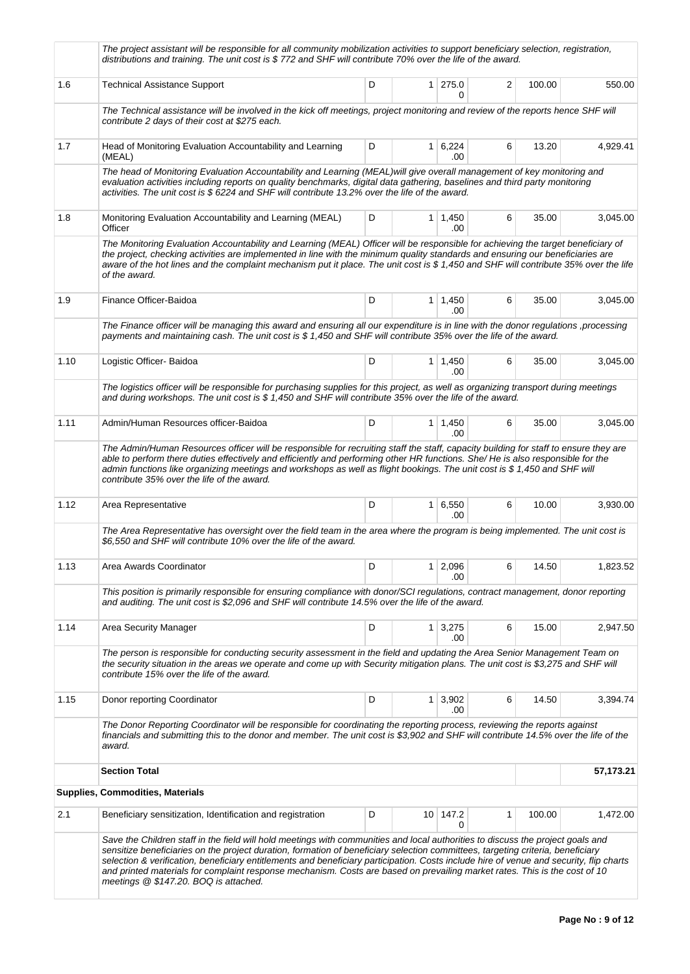|      | The project assistant will be responsible for all community mobilization activities to support beneficiary selection, registration,<br>distributions and training. The unit cost is \$772 and SHF will contribute 70% over the life of the award.                                                                                                                                                                                                                                                                                                                                    |   |                                    |   |        |           |
|------|--------------------------------------------------------------------------------------------------------------------------------------------------------------------------------------------------------------------------------------------------------------------------------------------------------------------------------------------------------------------------------------------------------------------------------------------------------------------------------------------------------------------------------------------------------------------------------------|---|------------------------------------|---|--------|-----------|
| 1.6  | <b>Technical Assistance Support</b>                                                                                                                                                                                                                                                                                                                                                                                                                                                                                                                                                  | D | 1 275.0<br>$\Omega$                | 2 | 100.00 | 550.00    |
|      | The Technical assistance will be involved in the kick off meetings, project monitoring and review of the reports hence SHF will<br>contribute 2 days of their cost at \$275 each.                                                                                                                                                                                                                                                                                                                                                                                                    |   |                                    |   |        |           |
| 1.7  | Head of Monitoring Evaluation Accountability and Learning<br>(MEAL)                                                                                                                                                                                                                                                                                                                                                                                                                                                                                                                  | D | $1 \mid 6,224 \mid$<br>.00         | 6 | 13.20  | 4,929.41  |
|      | The head of Monitoring Evaluation Accountability and Learning (MEAL)will give overall management of key monitoring and<br>evaluation activities including reports on quality benchmarks, digital data gathering, baselines and third party monitoring<br>activities. The unit cost is \$ 6224 and SHF will contribute 13.2% over the life of the award.                                                                                                                                                                                                                              |   |                                    |   |        |           |
| 1.8  | Monitoring Evaluation Accountability and Learning (MEAL)<br>Officer                                                                                                                                                                                                                                                                                                                                                                                                                                                                                                                  | D | $1 \mid 1,450$<br>.00              | 6 | 35.00  | 3,045.00  |
|      | The Monitoring Evaluation Accountability and Learning (MEAL) Officer will be responsible for achieving the target beneficiary of<br>the project, checking activities are implemented in line with the minimum quality standards and ensuring our beneficiaries are<br>aware of the hot lines and the complaint mechanism put it place. The unit cost is \$1,450 and SHF will contribute 35% over the life<br>of the award.                                                                                                                                                           |   |                                    |   |        |           |
| 1.9  | Finance Officer-Baidoa                                                                                                                                                                                                                                                                                                                                                                                                                                                                                                                                                               | D | 1 1,450<br>.00                     | 6 | 35.00  | 3,045.00  |
|      | The Finance officer will be managing this award and ensuring all our expenditure is in line with the donor regulations ,processing<br>payments and maintaining cash. The unit cost is \$1,450 and SHF will contribute 35% over the life of the award.                                                                                                                                                                                                                                                                                                                                |   |                                    |   |        |           |
| 1.10 | Logistic Officer- Baidoa                                                                                                                                                                                                                                                                                                                                                                                                                                                                                                                                                             | D | $1 \mid 1,450$<br>.00              | 6 | 35.00  | 3,045.00  |
|      | The logistics officer will be responsible for purchasing supplies for this project, as well as organizing transport during meetings<br>and during workshops. The unit cost is \$1,450 and SHF will contribute 35% over the life of the award.                                                                                                                                                                                                                                                                                                                                        |   |                                    |   |        |           |
| 1.11 | Admin/Human Resources officer-Baidoa                                                                                                                                                                                                                                                                                                                                                                                                                                                                                                                                                 | D | $1 \mid 1,450$<br>.00              | 6 | 35.00  | 3,045.00  |
|      | The Admin/Human Resources officer will be responsible for recruiting staff the staff, capacity building for staff to ensure they are<br>able to perform there duties effectively and efficiently and performing other HR functions. She/He is also responsible for the<br>admin functions like organizing meetings and workshops as well as flight bookings. The unit cost is \$1,450 and SHF will<br>contribute 35% over the life of the award.                                                                                                                                     |   |                                    |   |        |           |
| 1.12 | Area Representative                                                                                                                                                                                                                                                                                                                                                                                                                                                                                                                                                                  | D | $1 \vert 6,550$<br>.00             | 6 | 10.00  | 3,930.00  |
|      | The Area Representative has oversight over the field team in the area where the program is being implemented. The unit cost is<br>\$6,550 and SHF will contribute 10% over the life of the award.                                                                                                                                                                                                                                                                                                                                                                                    |   |                                    |   |        |           |
| 1.13 | Area Awards Coordinator                                                                                                                                                                                                                                                                                                                                                                                                                                                                                                                                                              | D | $1 \mid 2,096$<br>.00              | 6 | 14.50  | 1,823.52  |
|      | This position is primarily responsible for ensuring compliance with donor/SCI regulations, contract management, donor reporting<br>and auditing. The unit cost is \$2,096 and SHF will contribute 14.5% over the life of the award.                                                                                                                                                                                                                                                                                                                                                  |   |                                    |   |        |           |
| 1.14 | Area Security Manager                                                                                                                                                                                                                                                                                                                                                                                                                                                                                                                                                                | D | $1 \mid 3,275$<br>.00              | 6 | 15.00  | 2,947.50  |
|      | The person is responsible for conducting security assessment in the field and updating the Area Senior Management Team on<br>the security situation in the areas we operate and come up with Security mitigation plans. The unit cost is \$3,275 and SHF will<br>contribute 15% over the life of the award.                                                                                                                                                                                                                                                                          |   |                                    |   |        |           |
| 1.15 | Donor reporting Coordinator                                                                                                                                                                                                                                                                                                                                                                                                                                                                                                                                                          | D | $1 \overline{\smash)3,902}$<br>.00 | 6 | 14.50  | 3,394.74  |
|      | The Donor Reporting Coordinator will be responsible for coordinating the reporting process, reviewing the reports against<br>financials and submitting this to the donor and member. The unit cost is \$3,902 and SHF will contribute 14.5% over the life of the<br>award.                                                                                                                                                                                                                                                                                                           |   |                                    |   |        |           |
|      | <b>Section Total</b>                                                                                                                                                                                                                                                                                                                                                                                                                                                                                                                                                                 |   |                                    |   |        | 57,173.21 |
|      | <b>Supplies, Commodities, Materials</b>                                                                                                                                                                                                                                                                                                                                                                                                                                                                                                                                              |   |                                    |   |        |           |
| 2.1  | Beneficiary sensitization, Identification and registration                                                                                                                                                                                                                                                                                                                                                                                                                                                                                                                           | D | 10 147.2<br>0                      | 1 | 100.00 | 1,472.00  |
|      | Save the Children staff in the field will hold meetings with communities and local authorities to discuss the project goals and<br>sensitize beneficiaries on the project duration, formation of beneficiary selection committees, targeting criteria, beneficiary<br>selection & verification, beneficiary entitlements and beneficiary participation. Costs include hire of venue and security, flip charts<br>and printed materials for complaint response mechanism. Costs are based on prevailing market rates. This is the cost of 10<br>meetings @ \$147.20. BOQ is attached. |   |                                    |   |        |           |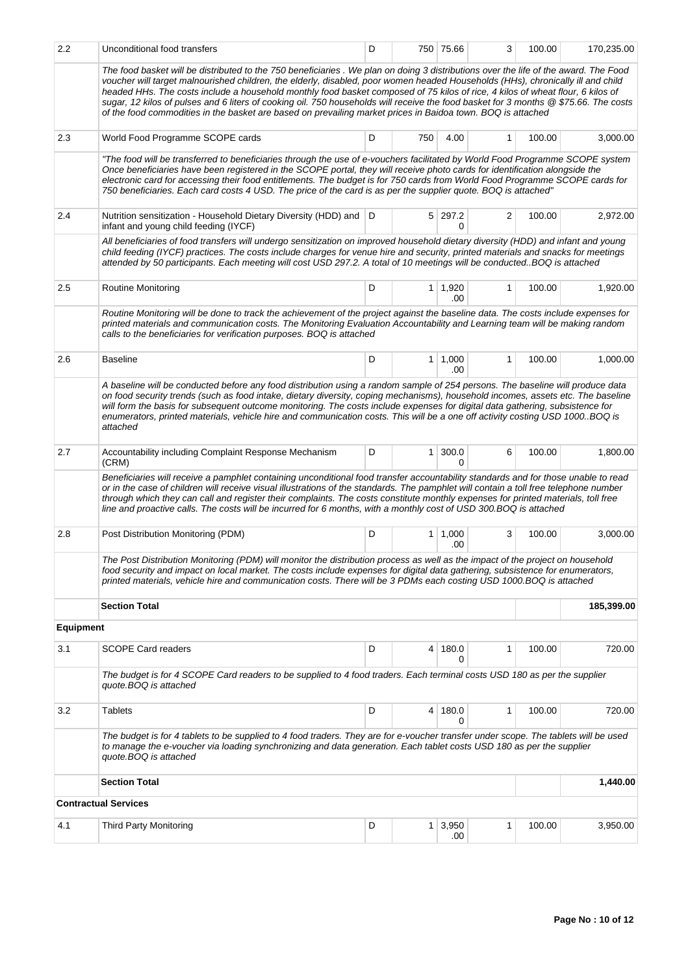| 2.2              | Unconditional food transfers                                                                                                                                                                                                                                                                                                                                                                                                                                                                                                                                                                                                                                    | D |                | 750 75.66             | 3            | 100.00 | 170,235.00 |
|------------------|-----------------------------------------------------------------------------------------------------------------------------------------------------------------------------------------------------------------------------------------------------------------------------------------------------------------------------------------------------------------------------------------------------------------------------------------------------------------------------------------------------------------------------------------------------------------------------------------------------------------------------------------------------------------|---|----------------|-----------------------|--------------|--------|------------|
|                  | The food basket will be distributed to the 750 beneficiaries. We plan on doing 3 distributions over the life of the award. The Food<br>voucher will target malnourished children, the elderly, disabled, poor women headed Households (HHs), chronically ill and child<br>headed HHs. The costs include a household monthly food basket composed of 75 kilos of rice, 4 kilos of wheat flour, 6 kilos of<br>sugar, 12 kilos of pulses and 6 liters of cooking oil. 750 households will receive the food basket for 3 months @ \$75.66. The costs<br>of the food commodities in the basket are based on prevailing market prices in Baidoa town. BOQ is attached |   |                |                       |              |        |            |
| 2.3              | World Food Programme SCOPE cards                                                                                                                                                                                                                                                                                                                                                                                                                                                                                                                                                                                                                                | D | 750            | 4.00                  | 1            | 100.00 | 3,000.00   |
|                  | "The food will be transferred to beneficiaries through the use of e-vouchers facilitated by World Food Programme SCOPE system<br>Once beneficiaries have been registered in the SCOPE portal, they will receive photo cards for identification alongside the<br>electronic card for accessing their food entitlements. The budget is for 750 cards from World Food Programme SCOPE cards for<br>750 beneficiaries. Each card costs 4 USD. The price of the card is as per the supplier quote. BOQ is attached"                                                                                                                                                  |   |                |                       |              |        |            |
| 2.4              | Nutrition sensitization - Household Dietary Diversity (HDD) and D<br>infant and young child feeding (IYCF)                                                                                                                                                                                                                                                                                                                                                                                                                                                                                                                                                      |   |                | 5 297.2<br>0          | 2            | 100.00 | 2,972.00   |
|                  | All beneficiaries of food transfers will undergo sensitization on improved household dietary diversity (HDD) and infant and young<br>child feeding (IYCF) practices. The costs include charges for venue hire and security, printed materials and snacks for meetings<br>attended by 50 participants. Each meeting will cost USD 297.2. A total of 10 meetings will be conducted. BOQ is attached                                                                                                                                                                                                                                                               |   |                |                       |              |        |            |
| 2.5              | <b>Routine Monitoring</b>                                                                                                                                                                                                                                                                                                                                                                                                                                                                                                                                                                                                                                       | D | $\mathbf{1}$   | 1,920<br>.00          | $\mathbf{1}$ | 100.00 | 1,920.00   |
|                  | Routine Monitoring will be done to track the achievement of the project against the baseline data. The costs include expenses for<br>printed materials and communication costs. The Monitoring Evaluation Accountability and Learning team will be making random<br>calls to the beneficiaries for verification purposes. BOQ is attached                                                                                                                                                                                                                                                                                                                       |   |                |                       |              |        |            |
| 2.6              | <b>Baseline</b>                                                                                                                                                                                                                                                                                                                                                                                                                                                                                                                                                                                                                                                 | D |                | $1 \mid 1,000$<br>.00 | $\mathbf{1}$ | 100.00 | 1,000.00   |
|                  | A baseline will be conducted before any food distribution using a random sample of 254 persons. The baseline will produce data<br>on food security trends (such as food intake, dietary diversity, coping mechanisms), household incomes, assets etc. The baseline<br>will form the basis for subsequent outcome monitoring. The costs include expenses for digital data gathering, subsistence for<br>enumerators, printed materials, vehicle hire and communication costs. This will be a one off activity costing USD 1000BOQ is<br>attached                                                                                                                 |   |                |                       |              |        |            |
| 2.7              | Accountability including Complaint Response Mechanism<br>(CRM)                                                                                                                                                                                                                                                                                                                                                                                                                                                                                                                                                                                                  | D | 1 <sup>1</sup> | 300.0<br>0            | 6            | 100.00 | 1,800.00   |
|                  | Beneficiaries will receive a pamphlet containing unconditional food transfer accountability standards and for those unable to read<br>or in the case of children will receive visual illustrations of the standards. The pamphlet will contain a toll free telephone number<br>through which they can call and register their complaints. The costs constitute monthly expenses for printed materials, toll free<br>line and proactive calls. The costs will be incurred for 6 months, with a monthly cost of USD 300.BOQ is attached                                                                                                                           |   |                |                       |              |        |            |
| 2.8              | Post Distribution Monitoring (PDM)                                                                                                                                                                                                                                                                                                                                                                                                                                                                                                                                                                                                                              | D |                | 1 1,000<br>.00        | 3            | 100.00 | 3,000.00   |
|                  | The Post Distribution Monitoring (PDM) will monitor the distribution process as well as the impact of the project on household<br>food security and impact on local market. The costs include expenses for digital data gathering, subsistence for enumerators,<br>printed materials, vehicle hire and communication costs. There will be 3 PDMs each costing USD 1000.BOQ is attached                                                                                                                                                                                                                                                                          |   |                |                       |              |        |            |
|                  | <b>Section Total</b>                                                                                                                                                                                                                                                                                                                                                                                                                                                                                                                                                                                                                                            |   |                |                       |              |        | 185,399.00 |
| <b>Equipment</b> |                                                                                                                                                                                                                                                                                                                                                                                                                                                                                                                                                                                                                                                                 |   |                |                       |              |        |            |
| 3.1              | <b>SCOPE Card readers</b>                                                                                                                                                                                                                                                                                                                                                                                                                                                                                                                                                                                                                                       | D | $\overline{4}$ | 180.0<br>0            | $\mathbf{1}$ | 100.00 | 720.00     |
|                  | The budget is for 4 SCOPE Card readers to be supplied to 4 food traders. Each terminal costs USD 180 as per the supplier<br>quote.BOQ is attached                                                                                                                                                                                                                                                                                                                                                                                                                                                                                                               |   |                |                       |              |        |            |
| 3.2              | Tablets                                                                                                                                                                                                                                                                                                                                                                                                                                                                                                                                                                                                                                                         | D | $\overline{4}$ | 180.0<br>0            | 1            | 100.00 | 720.00     |
|                  | The budget is for 4 tablets to be supplied to 4 food traders. They are for e-voucher transfer under scope. The tablets will be used<br>to manage the e-voucher via loading synchronizing and data generation. Each tablet costs USD 180 as per the supplier<br>quote.BOQ is attached                                                                                                                                                                                                                                                                                                                                                                            |   |                |                       |              |        |            |
|                  | <b>Section Total</b>                                                                                                                                                                                                                                                                                                                                                                                                                                                                                                                                                                                                                                            |   |                |                       |              |        | 1,440.00   |
|                  | <b>Contractual Services</b>                                                                                                                                                                                                                                                                                                                                                                                                                                                                                                                                                                                                                                     |   |                |                       |              |        |            |
| 4.1              | <b>Third Party Monitoring</b>                                                                                                                                                                                                                                                                                                                                                                                                                                                                                                                                                                                                                                   | D | 1 <sup>1</sup> | 3,950<br>.00          | 1            | 100.00 | 3,950.00   |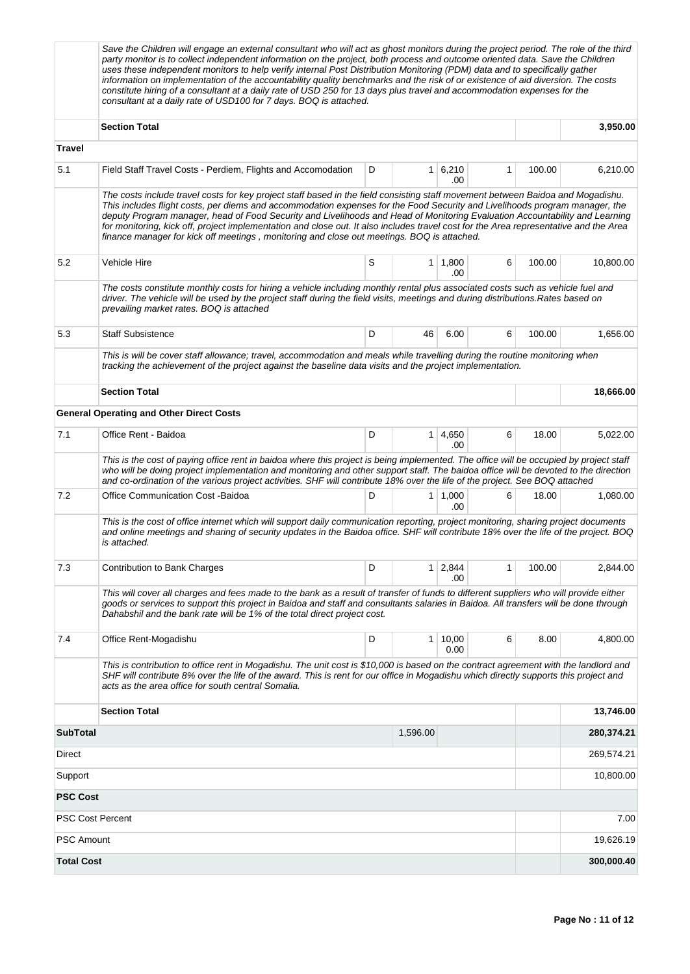|                                 | Save the Children will engage an external consultant who will act as ghost monitors during the project period. The role of the third<br>party monitor is to collect independent information on the project, both process and outcome oriented data. Save the Children<br>uses these independent monitors to help verify internal Post Distribution Monitoring (PDM) data and to specifically gather<br>information on implementation of the accountability quality benchmarks and the risk of or existence of aid diversion. The costs<br>constitute hiring of a consultant at a daily rate of USD 250 for 13 days plus travel and accommodation expenses for the<br>consultant at a daily rate of USD100 for 7 days. BOQ is attached. |            |           |                       |   |        |           |  |  |
|---------------------------------|----------------------------------------------------------------------------------------------------------------------------------------------------------------------------------------------------------------------------------------------------------------------------------------------------------------------------------------------------------------------------------------------------------------------------------------------------------------------------------------------------------------------------------------------------------------------------------------------------------------------------------------------------------------------------------------------------------------------------------------|------------|-----------|-----------------------|---|--------|-----------|--|--|
|                                 | <b>Section Total</b>                                                                                                                                                                                                                                                                                                                                                                                                                                                                                                                                                                                                                                                                                                                   |            | 3.950.00  |                       |   |        |           |  |  |
| <b>Travel</b>                   |                                                                                                                                                                                                                                                                                                                                                                                                                                                                                                                                                                                                                                                                                                                                        |            |           |                       |   |        |           |  |  |
| 5.1                             | Field Staff Travel Costs - Perdiem, Flights and Accomodation                                                                                                                                                                                                                                                                                                                                                                                                                                                                                                                                                                                                                                                                           | D          |           | $1 \mid 6,210$<br>.00 | 1 | 100.00 | 6,210.00  |  |  |
|                                 | The costs include travel costs for key project staff based in the field consisting staff movement between Baidoa and Mogadishu.<br>This includes flight costs, per diems and accommodation expenses for the Food Security and Livelihoods program manager, the<br>deputy Program manager, head of Food Security and Livelihoods and Head of Monitoring Evaluation Accountability and Learning<br>for monitoring, kick off, project implementation and close out. It also includes travel cost for the Area representative and the Area<br>finance manager for kick off meetings, monitoring and close out meetings. BOQ is attached.                                                                                                   |            |           |                       |   |        |           |  |  |
| 5.2                             | Vehicle Hire                                                                                                                                                                                                                                                                                                                                                                                                                                                                                                                                                                                                                                                                                                                           | S          | 1         | 1,800<br>.00          | 6 | 100.00 | 10,800.00 |  |  |
|                                 | The costs constitute monthly costs for hiring a vehicle including monthly rental plus associated costs such as vehicle fuel and<br>driver. The vehicle will be used by the project staff during the field visits, meetings and during distributions. Rates based on<br>prevailing market rates. BOQ is attached                                                                                                                                                                                                                                                                                                                                                                                                                        |            |           |                       |   |        |           |  |  |
| 5.3                             | <b>Staff Subsistence</b>                                                                                                                                                                                                                                                                                                                                                                                                                                                                                                                                                                                                                                                                                                               | D          | 46        | 6.00                  | 6 | 100.00 | 1,656.00  |  |  |
|                                 | This is will be cover staff allowance; travel, accommodation and meals while travelling during the routine monitoring when<br>tracking the achievement of the project against the baseline data visits and the project implementation.                                                                                                                                                                                                                                                                                                                                                                                                                                                                                                 |            |           |                       |   |        |           |  |  |
|                                 | <b>Section Total</b>                                                                                                                                                                                                                                                                                                                                                                                                                                                                                                                                                                                                                                                                                                                   |            | 18,666.00 |                       |   |        |           |  |  |
|                                 | <b>General Operating and Other Direct Costs</b>                                                                                                                                                                                                                                                                                                                                                                                                                                                                                                                                                                                                                                                                                        |            |           |                       |   |        |           |  |  |
| 7.1                             | Office Rent - Baidoa                                                                                                                                                                                                                                                                                                                                                                                                                                                                                                                                                                                                                                                                                                                   | D          | 1         | 4,650<br>.00          | 6 | 18.00  | 5,022.00  |  |  |
|                                 | This is the cost of paying office rent in baidoa where this project is being implemented. The office will be occupied by project staff<br>who will be doing project implementation and monitoring and other support staff. The baidoa office will be devoted to the direction<br>and co-ordination of the various project activities. SHF will contribute 18% over the life of the project. See BOQ attached                                                                                                                                                                                                                                                                                                                           |            |           |                       |   |        |           |  |  |
| 7.2                             | Office Communication Cost - Baidoa                                                                                                                                                                                                                                                                                                                                                                                                                                                                                                                                                                                                                                                                                                     | D          |           | $1 \mid 1,000$<br>.00 | 6 | 18.00  | 1,080.00  |  |  |
|                                 | This is the cost of office internet which will support daily communication reporting, project monitoring, sharing project documents<br>and online meetings and sharing of security updates in the Baidoa office. SHF will contribute 18% over the life of the project. BOQ<br>is attached.                                                                                                                                                                                                                                                                                                                                                                                                                                             |            |           |                       |   |        |           |  |  |
| 7.3                             | Contribution to Bank Charges                                                                                                                                                                                                                                                                                                                                                                                                                                                                                                                                                                                                                                                                                                           | D          | 1         | 2,844<br>.00          | 1 | 100.00 | 2,844.00  |  |  |
|                                 | This will cover all charges and fees made to the bank as a result of transfer of funds to different suppliers who will provide either<br>goods or services to support this project in Baidoa and staff and consultants salaries in Baidoa. All transfers will be done through<br>Dahabshil and the bank rate will be 1% of the total direct project cost.                                                                                                                                                                                                                                                                                                                                                                              |            |           |                       |   |        |           |  |  |
| 7.4                             | Office Rent-Mogadishu                                                                                                                                                                                                                                                                                                                                                                                                                                                                                                                                                                                                                                                                                                                  | D          | 1         | 10,00<br>0.00         | 6 | 8.00   | 4,800.00  |  |  |
|                                 | This is contribution to office rent in Mogadishu. The unit cost is \$10,000 is based on the contract agreement with the landlord and<br>SHF will contribute 8% over the life of the award. This is rent for our office in Mogadishu which directly supports this project and<br>acts as the area office for south central Somalia.                                                                                                                                                                                                                                                                                                                                                                                                     |            |           |                       |   |        |           |  |  |
|                                 | <b>Section Total</b>                                                                                                                                                                                                                                                                                                                                                                                                                                                                                                                                                                                                                                                                                                                   |            |           |                       |   |        | 13,746.00 |  |  |
| <b>SubTotal</b>                 |                                                                                                                                                                                                                                                                                                                                                                                                                                                                                                                                                                                                                                                                                                                                        |            |           | 280,374.21            |   |        |           |  |  |
| Direct                          |                                                                                                                                                                                                                                                                                                                                                                                                                                                                                                                                                                                                                                                                                                                                        | 269,574.21 |           |                       |   |        |           |  |  |
| Support                         |                                                                                                                                                                                                                                                                                                                                                                                                                                                                                                                                                                                                                                                                                                                                        | 10,800.00  |           |                       |   |        |           |  |  |
| <b>PSC Cost</b>                 |                                                                                                                                                                                                                                                                                                                                                                                                                                                                                                                                                                                                                                                                                                                                        |            |           |                       |   |        |           |  |  |
| <b>PSC Cost Percent</b><br>7.00 |                                                                                                                                                                                                                                                                                                                                                                                                                                                                                                                                                                                                                                                                                                                                        |            |           |                       |   |        |           |  |  |
| <b>PSC Amount</b>               |                                                                                                                                                                                                                                                                                                                                                                                                                                                                                                                                                                                                                                                                                                                                        |            |           |                       |   |        | 19,626.19 |  |  |
| <b>Total Cost</b>               |                                                                                                                                                                                                                                                                                                                                                                                                                                                                                                                                                                                                                                                                                                                                        | 300,000.40 |           |                       |   |        |           |  |  |